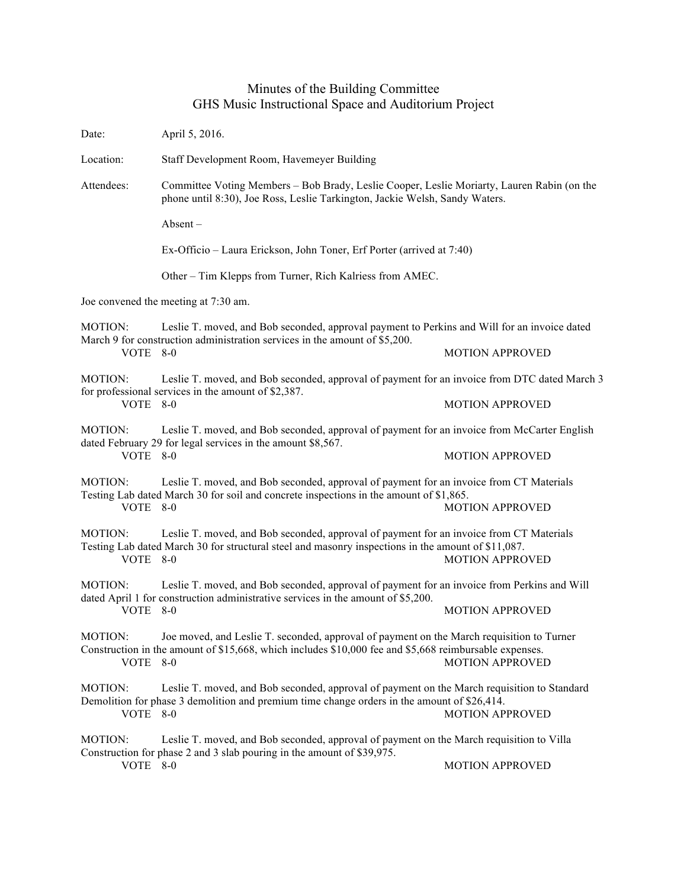## Minutes of the Building Committee GHS Music Instructional Space and Auditorium Project

| Date:                                | April 5, 2016.                                                                                                                                                                                                          |                        |  |  |
|--------------------------------------|-------------------------------------------------------------------------------------------------------------------------------------------------------------------------------------------------------------------------|------------------------|--|--|
| Location:                            | Staff Development Room, Havemeyer Building                                                                                                                                                                              |                        |  |  |
| Attendees:                           | Committee Voting Members - Bob Brady, Leslie Cooper, Leslie Moriarty, Lauren Rabin (on the<br>phone until 8:30), Joe Ross, Leslie Tarkington, Jackie Welsh, Sandy Waters.                                               |                        |  |  |
|                                      | $Absent -$                                                                                                                                                                                                              |                        |  |  |
|                                      | Ex-Officio – Laura Erickson, John Toner, Erf Porter (arrived at 7:40)                                                                                                                                                   |                        |  |  |
|                                      | Other – Tim Klepps from Turner, Rich Kalriess from AMEC.                                                                                                                                                                |                        |  |  |
| Joe convened the meeting at 7:30 am. |                                                                                                                                                                                                                         |                        |  |  |
| <b>MOTION:</b>                       | Leslie T. moved, and Bob seconded, approval payment to Perkins and Will for an invoice dated                                                                                                                            |                        |  |  |
| VOTE 8-0                             | March 9 for construction administration services in the amount of \$5,200.                                                                                                                                              | <b>MOTION APPROVED</b> |  |  |
| <b>MOTION:</b>                       | Leslie T. moved, and Bob seconded, approval of payment for an invoice from DTC dated March 3<br>for professional services in the amount of \$2,387.                                                                     |                        |  |  |
| VOTE 8-0                             |                                                                                                                                                                                                                         | <b>MOTION APPROVED</b> |  |  |
| <b>MOTION:</b>                       | Leslie T. moved, and Bob seconded, approval of payment for an invoice from McCarter English<br>dated February 29 for legal services in the amount \$8,567.                                                              |                        |  |  |
| VOTE 8-0                             |                                                                                                                                                                                                                         | <b>MOTION APPROVED</b> |  |  |
| MOTION:                              | Leslie T. moved, and Bob seconded, approval of payment for an invoice from CT Materials<br>Testing Lab dated March 30 for soil and concrete inspections in the amount of \$1,865.                                       |                        |  |  |
| VOTE 8-0                             |                                                                                                                                                                                                                         | <b>MOTION APPROVED</b> |  |  |
| <b>MOTION:</b>                       | Leslie T. moved, and Bob seconded, approval of payment for an invoice from CT Materials<br>Testing Lab dated March 30 for structural steel and masonry inspections in the amount of \$11,087.<br><b>MOTION APPROVED</b> |                        |  |  |
| VOTE 8-0                             |                                                                                                                                                                                                                         |                        |  |  |
| MOTION:                              | Leslie T. moved, and Bob seconded, approval of payment for an invoice from Perkins and Will<br>dated April 1 for construction administrative services in the amount of \$5,200.                                         |                        |  |  |
| VOTE 8-0                             |                                                                                                                                                                                                                         | <b>MOTION APPROVED</b> |  |  |
| MOTION:<br>VOTE 8-0                  | Joe moved, and Leslie T. seconded, approval of payment on the March requisition to Turner<br>Construction in the amount of \$15,668, which includes \$10,000 fee and \$5,668 reimbursable expenses.                     | <b>MOTION APPROVED</b> |  |  |
| MOTION:<br>VOTE 8-0                  | Leslie T. moved, and Bob seconded, approval of payment on the March requisition to Standard<br>Demolition for phase 3 demolition and premium time change orders in the amount of \$26,414.                              | <b>MOTION APPROVED</b> |  |  |
| MOTION:                              | Leslie T. moved, and Bob seconded, approval of payment on the March requisition to Villa<br>Construction for phase 2 and 3 slab pouring in the amount of \$39,975.                                                      |                        |  |  |
| VOTE 8-0                             |                                                                                                                                                                                                                         | <b>MOTION APPROVED</b> |  |  |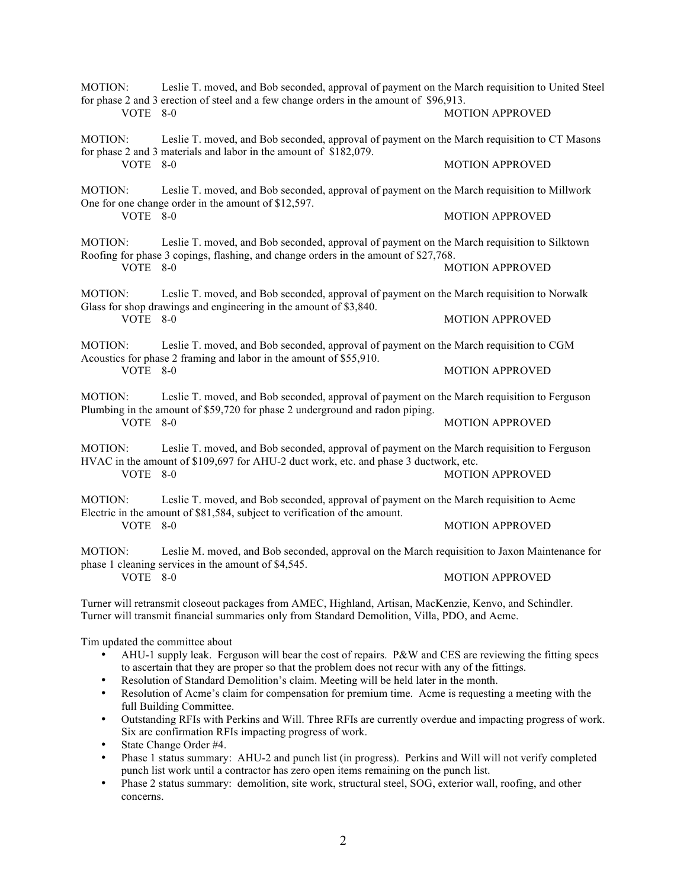| MOTION:<br>VOTE 8-0           | Leslie T. moved, and Bob seconded, approval of payment on the March requisition to United Steel<br>for phase 2 and 3 erection of steel and a few change orders in the amount of \$96,913. | <b>MOTION APPROVED</b> |
|-------------------------------|-------------------------------------------------------------------------------------------------------------------------------------------------------------------------------------------|------------------------|
| <b>MOTION:</b><br><b>VOTE</b> | Leslie T. moved, and Bob seconded, approval of payment on the March requisition to CT Masons<br>for phase 2 and 3 materials and labor in the amount of \$182,079.<br>$8-0$                | <b>MOTION APPROVED</b> |
| <b>MOTION:</b><br>VOTE 8-0    | Leslie T. moved, and Bob seconded, approval of payment on the March requisition to Millwork<br>One for one change order in the amount of \$12,597.                                        | <b>MOTION APPROVED</b> |
| <b>MOTION:</b><br>VOTE 8-0    | Leslie T. moved, and Bob seconded, approval of payment on the March requisition to Silktown<br>Roofing for phase 3 copings, flashing, and change orders in the amount of \$27,768.        | <b>MOTION APPROVED</b> |
| MOTION:<br>VOTE 8-0           | Leslie T. moved, and Bob seconded, approval of payment on the March requisition to Norwalk<br>Glass for shop drawings and engineering in the amount of \$3,840.                           | <b>MOTION APPROVED</b> |
| MOTION:<br>VOTE 8-0           | Leslie T. moved, and Bob seconded, approval of payment on the March requisition to CGM<br>Acoustics for phase 2 framing and labor in the amount of \$55,910.                              | <b>MOTION APPROVED</b> |
| <b>MOTION:</b><br>VOTE $8-0$  | Leslie T. moved, and Bob seconded, approval of payment on the March requisition to Ferguson<br>Plumbing in the amount of \$59,720 for phase 2 underground and radon piping.               | <b>MOTION APPROVED</b> |
| <b>MOTION:</b><br>VOTE 8-0    | Leslie T. moved, and Bob seconded, approval of payment on the March requisition to Ferguson<br>HVAC in the amount of \$109,697 for AHU-2 duct work, etc. and phase 3 ductwork, etc.       | <b>MOTION APPROVED</b> |
| <b>MOTION:</b><br><b>VOTE</b> | Leslie T. moved, and Bob seconded, approval of payment on the March requisition to Acme<br>Electric in the amount of \$81,584, subject to verification of the amount.<br>$8-0$            | <b>MOTION APPROVED</b> |
| MOTION:<br><b>VOTE</b>        | Leslie M. moved, and Bob seconded, approval on the March requisition to Jaxon Maintenance for<br>phase 1 cleaning services in the amount of \$4,545.<br>$8-0$                             | <b>MOTION APPROVED</b> |

Turner will retransmit closeout packages from AMEC, Highland, Artisan, MacKenzie, Kenvo, and Schindler. Turner will transmit financial summaries only from Standard Demolition, Villa, PDO, and Acme.

Tim updated the committee about

- AHU-1 supply leak. Ferguson will bear the cost of repairs. P&W and CES are reviewing the fitting specs to ascertain that they are proper so that the problem does not recur with any of the fittings.
- Resolution of Standard Demolition's claim. Meeting will be held later in the month.<br>• Resolution of Acme's claim for compensation for premium time. Acme is requesting
- Resolution of Acme's claim for compensation for premium time. Acme is requesting a meeting with the full Building Committee.
- Outstanding RFIs with Perkins and Will. Three RFIs are currently overdue and impacting progress of work. Six are confirmation RFIs impacting progress of work.
- State Change Order #4.
- Phase 1 status summary: AHU-2 and punch list (in progress). Perkins and Will will not verify completed punch list work until a contractor has zero open items remaining on the punch list.
- Phase 2 status summary: demolition, site work, structural steel, SOG, exterior wall, roofing, and other concerns.